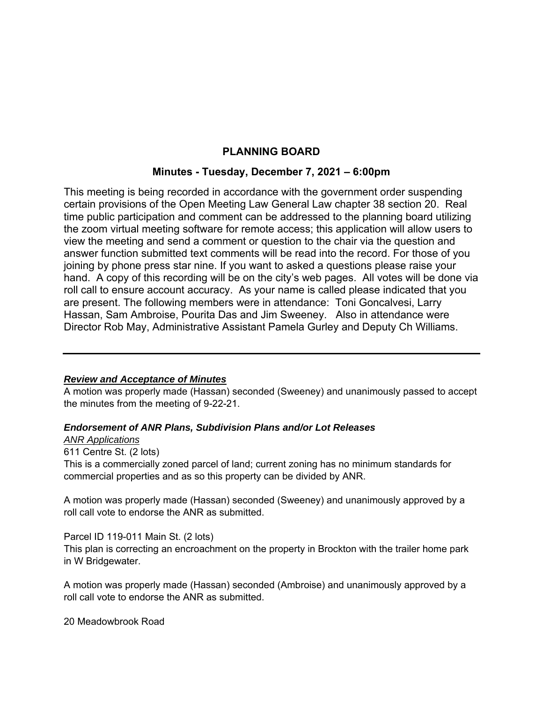# **PLANNING BOARD**

# **Minutes - Tuesday, December 7, 2021 – 6:00pm**

This meeting is being recorded in accordance with the government order suspending certain provisions of the Open Meeting Law General Law chapter 38 section 20. Real time public participation and comment can be addressed to the planning board utilizing the zoom virtual meeting software for remote access; this application will allow users to view the meeting and send a comment or question to the chair via the question and answer function submitted text comments will be read into the record. For those of you joining by phone press star nine. If you want to asked a questions please raise your hand. A copy of this recording will be on the city's web pages. All votes will be done via roll call to ensure account accuracy. As your name is called please indicated that you are present. The following members were in attendance: Toni Goncalvesi, Larry Hassan, Sam Ambroise, Pourita Das and Jim Sweeney. Also in attendance were Director Rob May, Administrative Assistant Pamela Gurley and Deputy Ch Williams.

# *Review and Acceptance of Minutes*

A motion was properly made (Hassan) seconded (Sweeney) and unanimously passed to accept the minutes from the meeting of 9-22-21.

### *Endorsement of ANR Plans, Subdivision Plans and/or Lot Releases*

#### *ANR Applications*

611 Centre St. (2 lots) This is a commercially zoned parcel of land; current zoning has no minimum standards for commercial properties and as so this property can be divided by ANR.

A motion was properly made (Hassan) seconded (Sweeney) and unanimously approved by a roll call vote to endorse the ANR as submitted.

### Parcel ID 119-011 Main St. (2 lots)

This plan is correcting an encroachment on the property in Brockton with the trailer home park in W Bridgewater.

A motion was properly made (Hassan) seconded (Ambroise) and unanimously approved by a roll call vote to endorse the ANR as submitted.

20 Meadowbrook Road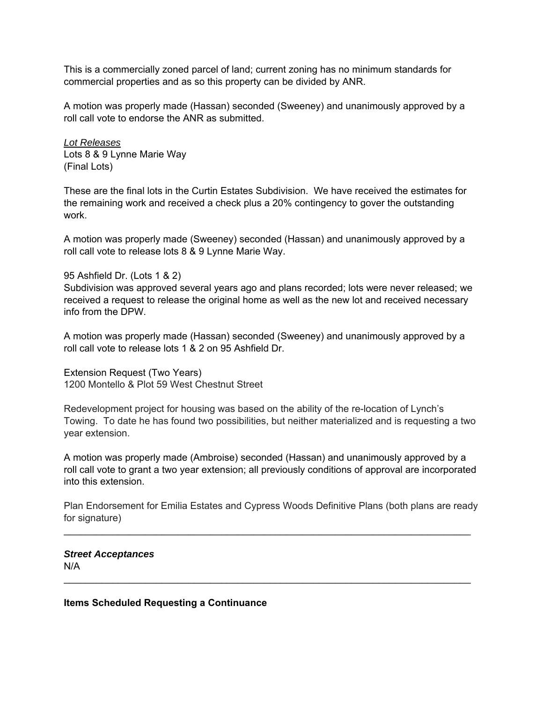This is a commercially zoned parcel of land; current zoning has no minimum standards for commercial properties and as so this property can be divided by ANR.

A motion was properly made (Hassan) seconded (Sweeney) and unanimously approved by a roll call vote to endorse the ANR as submitted.

*Lot Releases*  Lots 8 & 9 Lynne Marie Way (Final Lots)

These are the final lots in the Curtin Estates Subdivision. We have received the estimates for the remaining work and received a check plus a 20% contingency to gover the outstanding work.

A motion was properly made (Sweeney) seconded (Hassan) and unanimously approved by a roll call vote to release lots 8 & 9 Lynne Marie Way.

95 Ashfield Dr. (Lots 1 & 2)

Subdivision was approved several years ago and plans recorded; lots were never released; we received a request to release the original home as well as the new lot and received necessary info from the DPW.

A motion was properly made (Hassan) seconded (Sweeney) and unanimously approved by a roll call vote to release lots 1 & 2 on 95 Ashfield Dr.

Extension Request (Two Years) 1200 Montello & Plot 59 West Chestnut Street

Redevelopment project for housing was based on the ability of the re-location of Lynch's Towing. To date he has found two possibilities, but neither materialized and is requesting a two year extension.

A motion was properly made (Ambroise) seconded (Hassan) and unanimously approved by a roll call vote to grant a two year extension; all previously conditions of approval are incorporated into this extension.

Plan Endorsement for Emilia Estates and Cypress Woods Definitive Plans (both plans are ready for signature)

 $\mathcal{L}_\text{max}$  and  $\mathcal{L}_\text{max}$  and  $\mathcal{L}_\text{max}$  and  $\mathcal{L}_\text{max}$  and  $\mathcal{L}_\text{max}$  and  $\mathcal{L}_\text{max}$ 

 $\mathcal{L}_\text{max}$  and  $\mathcal{L}_\text{max}$  and  $\mathcal{L}_\text{max}$  and  $\mathcal{L}_\text{max}$  and  $\mathcal{L}_\text{max}$  and  $\mathcal{L}_\text{max}$ 

*Street Acceptances*  N/A

**Items Scheduled Requesting a Continuance**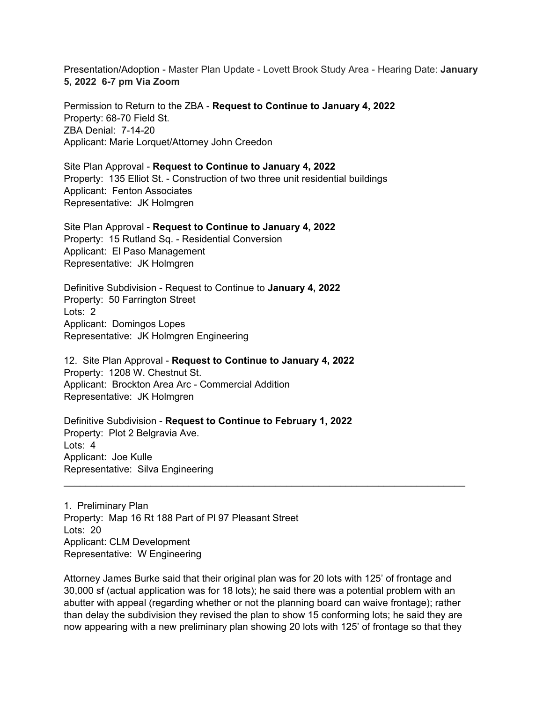Presentation/Adoption - Master Plan Update - Lovett Brook Study Area - Hearing Date: **January 5, 2022 6-7 pm Via Zoom**

Permission to Return to the ZBA - **Request to Continue to January 4, 2022**  Property: 68-70 Field St. ZBA Denial: 7-14-20 Applicant: Marie Lorquet/Attorney John Creedon

Site Plan Approval - **Request to Continue to January 4, 2022** Property: 135 Elliot St. - Construction of two three unit residential buildings Applicant: Fenton Associates Representative: JK Holmgren

Site Plan Approval - **Request to Continue to January 4, 2022** Property: 15 Rutland Sq. - Residential Conversion Applicant: El Paso Management Representative: JK Holmgren

Definitive Subdivision - Request to Continue to **January 4, 2022**  Property: 50 Farrington Street Lots: 2 Applicant: Domingos Lopes Representative: JK Holmgren Engineering

12. Site Plan Approval - **Request to Continue to January 4, 2022**  Property: 1208 W. Chestnut St. Applicant: Brockton Area Arc - Commercial Addition Representative: JK Holmgren

Definitive Subdivision - **Request to Continue to February 1, 2022**  Property: Plot 2 Belgravia Ave. Lots: 4 Applicant: Joe Kulle Representative: Silva Engineering

1. Preliminary Plan Property: Map 16 Rt 188 Part of Pl 97 Pleasant Street Lots: 20 Applicant: CLM Development Representative: W Engineering

Attorney James Burke said that their original plan was for 20 lots with 125' of frontage and 30,000 sf (actual application was for 18 lots); he said there was a potential problem with an abutter with appeal (regarding whether or not the planning board can waive frontage); rather than delay the subdivision they revised the plan to show 15 conforming lots; he said they are now appearing with a new preliminary plan showing 20 lots with 125' of frontage so that they

\_\_\_\_\_\_\_\_\_\_\_\_\_\_\_\_\_\_\_\_\_\_\_\_\_\_\_\_\_\_\_\_\_\_\_\_\_\_\_\_\_\_\_\_\_\_\_\_\_\_\_\_\_\_\_\_\_\_\_\_\_\_\_\_\_\_\_\_\_\_\_\_\_\_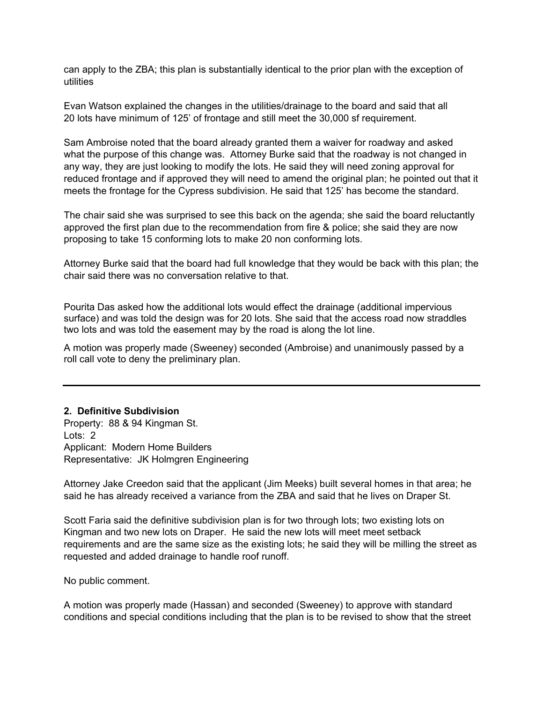can apply to the ZBA; this plan is substantially identical to the prior plan with the exception of utilities

Evan Watson explained the changes in the utilities/drainage to the board and said that all 20 lots have minimum of 125' of frontage and still meet the 30,000 sf requirement.

Sam Ambroise noted that the board already granted them a waiver for roadway and asked what the purpose of this change was. Attorney Burke said that the roadway is not changed in any way, they are just looking to modify the lots. He said they will need zoning approval for reduced frontage and if approved they will need to amend the original plan; he pointed out that it meets the frontage for the Cypress subdivision. He said that 125' has become the standard.

The chair said she was surprised to see this back on the agenda; she said the board reluctantly approved the first plan due to the recommendation from fire & police; she said they are now proposing to take 15 conforming lots to make 20 non conforming lots.

Attorney Burke said that the board had full knowledge that they would be back with this plan; the chair said there was no conversation relative to that.

Pourita Das asked how the additional lots would effect the drainage (additional impervious surface) and was told the design was for 20 lots. She said that the access road now straddles two lots and was told the easement may by the road is along the lot line.

A motion was properly made (Sweeney) seconded (Ambroise) and unanimously passed by a roll call vote to deny the preliminary plan.

### **2. Definitive Subdivision**

Property: 88 & 94 Kingman St. Lots: 2 Applicant: Modern Home Builders Representative: JK Holmgren Engineering

Attorney Jake Creedon said that the applicant (Jim Meeks) built several homes in that area; he said he has already received a variance from the ZBA and said that he lives on Draper St.

Scott Faria said the definitive subdivision plan is for two through lots; two existing lots on Kingman and two new lots on Draper. He said the new lots will meet meet setback requirements and are the same size as the existing lots; he said they will be milling the street as requested and added drainage to handle roof runoff.

No public comment.

A motion was properly made (Hassan) and seconded (Sweeney) to approve with standard conditions and special conditions including that the plan is to be revised to show that the street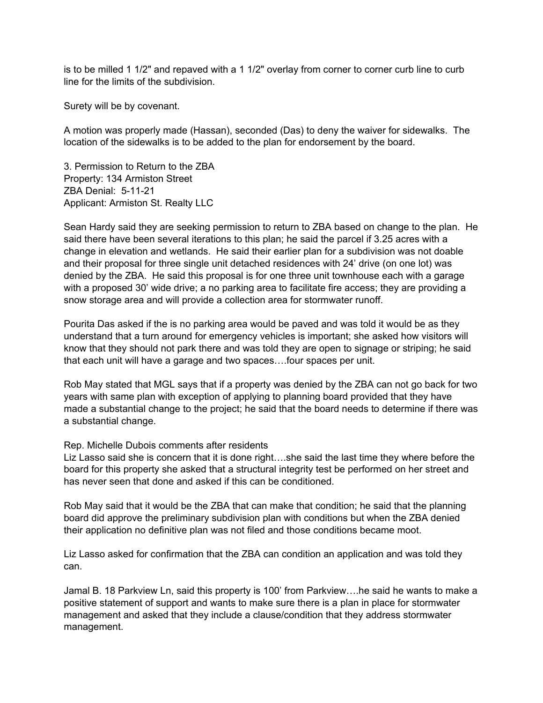is to be milled 1 1/2" and repaved with a 1 1/2" overlay from corner to corner curb line to curb line for the limits of the subdivision.

Surety will be by covenant.

A motion was properly made (Hassan), seconded (Das) to deny the waiver for sidewalks. The location of the sidewalks is to be added to the plan for endorsement by the board.

3. Permission to Return to the ZBA Property: 134 Armiston Street ZBA Denial: 5-11-21 Applicant: Armiston St. Realty LLC

Sean Hardy said they are seeking permission to return to ZBA based on change to the plan. He said there have been several iterations to this plan; he said the parcel if 3.25 acres with a change in elevation and wetlands. He said their earlier plan for a subdivision was not doable and their proposal for three single unit detached residences with 24' drive (on one lot) was denied by the ZBA. He said this proposal is for one three unit townhouse each with a garage with a proposed 30' wide drive; a no parking area to facilitate fire access; they are providing a snow storage area and will provide a collection area for stormwater runoff.

Pourita Das asked if the is no parking area would be paved and was told it would be as they understand that a turn around for emergency vehicles is important; she asked how visitors will know that they should not park there and was told they are open to signage or striping; he said that each unit will have a garage and two spaces….four spaces per unit.

Rob May stated that MGL says that if a property was denied by the ZBA can not go back for two years with same plan with exception of applying to planning board provided that they have made a substantial change to the project; he said that the board needs to determine if there was a substantial change.

# Rep. Michelle Dubois comments after residents

Liz Lasso said she is concern that it is done right….she said the last time they where before the board for this property she asked that a structural integrity test be performed on her street and has never seen that done and asked if this can be conditioned.

Rob May said that it would be the ZBA that can make that condition; he said that the planning board did approve the preliminary subdivision plan with conditions but when the ZBA denied their application no definitive plan was not filed and those conditions became moot.

Liz Lasso asked for confirmation that the ZBA can condition an application and was told they can.

Jamal B. 18 Parkview Ln, said this property is 100' from Parkview….he said he wants to make a positive statement of support and wants to make sure there is a plan in place for stormwater management and asked that they include a clause/condition that they address stormwater management.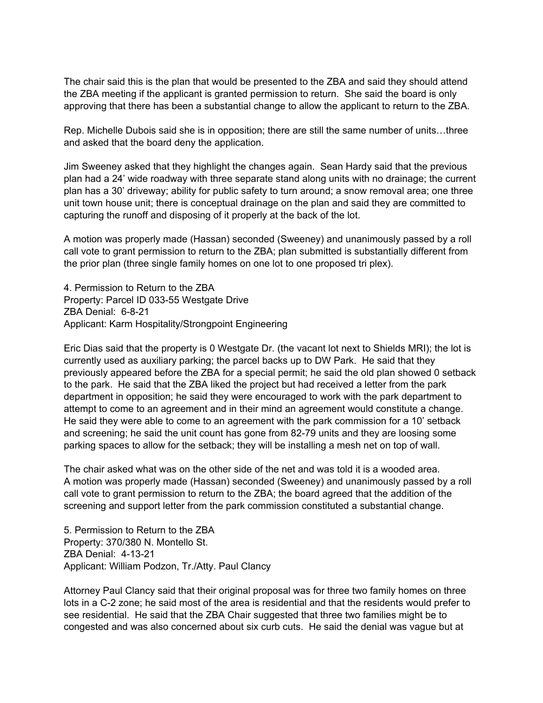The chair said this is the plan that would be presented to the ZBA and said they should attend the ZBA meeting if the applicant is granted permission to return. She said the board is only approving that there has been a substantial change to allow the applicant to return to the ZBA.

 and asked that the board deny the application. Rep. Michelle Dubois said she is in opposition; there are still the same number of units…three

Jim Sweeney asked that they highlight the changes again. Sean Hardy said that the previous plan had a 24' wide roadway with three separate stand along units with no drainage; the current plan has a 30' driveway; ability for public safety to turn around; a snow removal area; one three unit town house unit; there is conceptual drainage on the plan and said they are committed to capturing the runoff and disposing of it properly at the back of the lot.

A motion was properly made (Hassan) seconded (Sweeney) and unanimously passed by a roll call vote to grant permission to return to the ZBA; plan submitted is substantially different from the prior plan (three single family homes on one lot to one proposed tri plex).

4. Permission to Return to the ZBA Property: Parcel ID 033-55 Westgate Drive ZBA Denial: 6-8-21 Applicant: Karm Hospitality/Strongpoint Engineering

Eric Dias said that the property is 0 Westgate Dr. (the vacant lot next to Shields MRI); the lot is currently used as auxiliary parking; the parcel backs up to DW Park. He said that they previously appeared before the ZBA for a special permit; he said the old plan showed 0 setback to the park. He said that the ZBA liked the project but had received a letter from the park department in opposition; he said they were encouraged to work with the park department to attempt to come to an agreement and in their mind an agreement would constitute a change. He said they were able to come to an agreement with the park commission for a 10' setback and screening; he said the unit count has gone from 82-79 units and they are loosing some parking spaces to allow for the setback; they will be installing a mesh net on top of wall.

The chair asked what was on the other side of the net and was told it is a wooded area. A motion was properly made (Hassan) seconded (Sweeney) and unanimously passed by a roll call vote to grant permission to return to the ZBA; the board agreed that the addition of the screening and support letter from the park commission constituted a substantial change.

5. Permission to Return to the ZBA Property: 370/380 N. Montello St. ZBA Denial: 4-13-21 Applicant: William Podzon, Tr./Atty. Paul Clancy

Attorney Paul Clancy said that their original proposal was for three two family homes on three lots in a C-2 zone; he said most of the area is residential and that the residents would prefer to see residential. He said that the ZBA Chair suggested that three two families might be to congested and was also concerned about six curb cuts. He said the denial was vague but at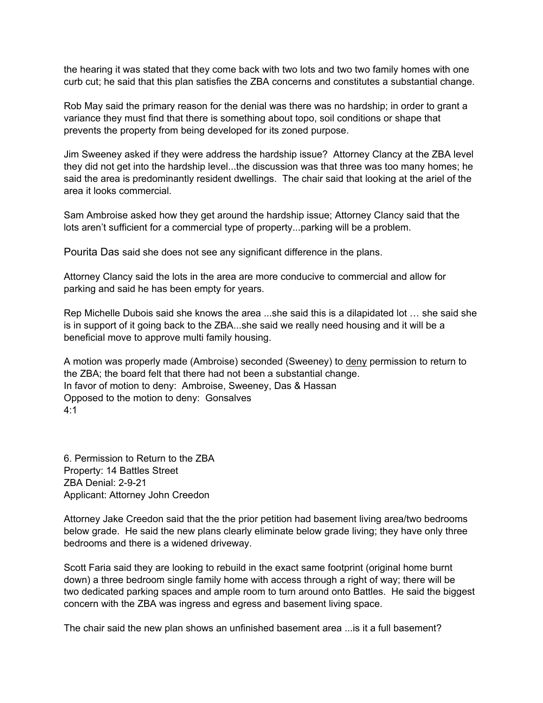the hearing it was stated that they come back with two lots and two two family homes with one curb cut; he said that this plan satisfies the ZBA concerns and constitutes a substantial change.

Rob May said the primary reason for the denial was there was no hardship; in order to grant a variance they must find that there is something about topo, soil conditions or shape that prevents the property from being developed for its zoned purpose.

Jim Sweeney asked if they were address the hardship issue? Attorney Clancy at the ZBA level they did not get into the hardship level...the discussion was that three was too many homes; he said the area is predominantly resident dwellings. The chair said that looking at the ariel of the area it looks commercial.

Sam Ambroise asked how they get around the hardship issue; Attorney Clancy said that the lots aren't sufficient for a commercial type of property...parking will be a problem.

Pourita Das said she does not see any significant difference in the plans.

Attorney Clancy said the lots in the area are more conducive to commercial and allow for parking and said he has been empty for years.

Rep Michelle Dubois said she knows the area ...she said this is a dilapidated lot … she said she is in support of it going back to the ZBA...she said we really need housing and it will be a beneficial move to approve multi family housing.

A motion was properly made (Ambroise) seconded (Sweeney) to deny permission to return to the ZBA; the board felt that there had not been a substantial change. In favor of motion to deny: Ambroise, Sweeney, Das & Hassan Opposed to the motion to deny: Gonsalves 4:1

6. Permission to Return to the ZBA Property: 14 Battles Street ZBA Denial: 2-9-21 Applicant: Attorney John Creedon

Attorney Jake Creedon said that the the prior petition had basement living area/two bedrooms below grade. He said the new plans clearly eliminate below grade living; they have only three bedrooms and there is a widened driveway.

Scott Faria said they are looking to rebuild in the exact same footprint (original home burnt down) a three bedroom single family home with access through a right of way; there will be two dedicated parking spaces and ample room to turn around onto Battles. He said the biggest concern with the ZBA was ingress and egress and basement living space.

The chair said the new plan shows an unfinished basement area ...is it a full basement?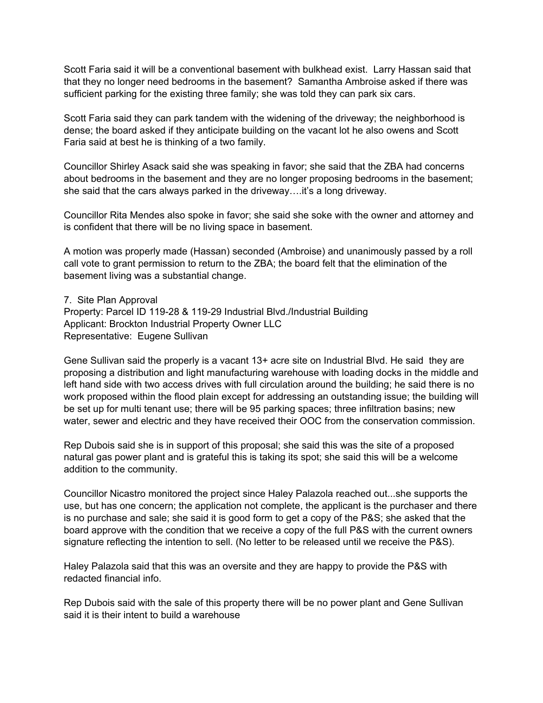Scott Faria said it will be a conventional basement with bulkhead exist. Larry Hassan said that that they no longer need bedrooms in the basement? Samantha Ambroise asked if there was sufficient parking for the existing three family; she was told they can park six cars.

Scott Faria said they can park tandem with the widening of the driveway; the neighborhood is dense; the board asked if they anticipate building on the vacant lot he also owens and Scott Faria said at best he is thinking of a two family.

Councillor Shirley Asack said she was speaking in favor; she said that the ZBA had concerns about bedrooms in the basement and they are no longer proposing bedrooms in the basement; she said that the cars always parked in the driveway….it's a long driveway.

Councillor Rita Mendes also spoke in favor; she said she soke with the owner and attorney and is confident that there will be no living space in basement.

A motion was properly made (Hassan) seconded (Ambroise) and unanimously passed by a roll call vote to grant permission to return to the ZBA; the board felt that the elimination of the basement living was a substantial change.

7. Site Plan Approval Property: Parcel ID 119-28 & 119-29 Industrial Blvd./Industrial Building Applicant: Brockton Industrial Property Owner LLC Representative: Eugene Sullivan

Gene Sullivan said the properly is a vacant 13+ acre site on Industrial Blvd. He said they are proposing a distribution and light manufacturing warehouse with loading docks in the middle and left hand side with two access drives with full circulation around the building; he said there is no work proposed within the flood plain except for addressing an outstanding issue; the building will be set up for multi tenant use; there will be 95 parking spaces; three infiltration basins; new water, sewer and electric and they have received their OOC from the conservation commission.

Rep Dubois said she is in support of this proposal; she said this was the site of a proposed natural gas power plant and is grateful this is taking its spot; she said this will be a welcome addition to the community.

Councillor Nicastro monitored the project since Haley Palazola reached out...she supports the use, but has one concern; the application not complete, the applicant is the purchaser and there is no purchase and sale; she said it is good form to get a copy of the P&S; she asked that the board approve with the condition that we receive a copy of the full P&S with the current owners signature reflecting the intention to sell. (No letter to be released until we receive the P&S).

Haley Palazola said that this was an oversite and they are happy to provide the P&S with redacted financial info.

Rep Dubois said with the sale of this property there will be no power plant and Gene Sullivan said it is their intent to build a warehouse